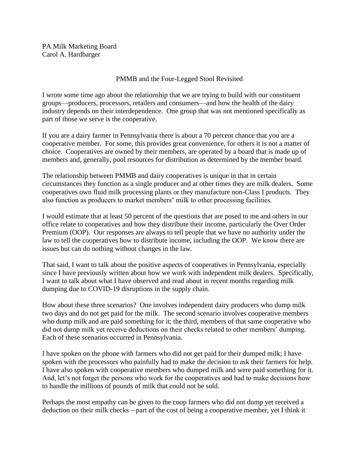PA Milk Marketing Board Carol A. Hardbarger

## PMMB and the Four-Legged Stool Revisited

I wrote some time ago about the relationship that we are trying to build with our constituent groups—producers, processors, retailers and consumers—and how the health of the dairy industry depends on their interdependence. One group that was not mentioned specifically as part of those we serve is the cooperative.

If you are a dairy farmer in Pennsylvania there is about a 70 percent chance that you are a cooperative member. For some, this provides great convenience, for others it is not a matter of choice. Cooperatives are owned by their members, are operated by a board that is made up of members and, generally, pool resources for distribution as determined by the member board.

The relationship between PMMB and dairy cooperatives is unique in that in certain circumstances they function as a single producer and at other times they are milk dealers. Some cooperatives own fluid milk processing plants or they manufacture non-Class I products. They also function as producers to market members' milk to other processing facilities.

I would estimate that at least 50 percent of the questions that are posed to me and others in our office relate to cooperatives and how they distribute their income, particularly the Over Order Premium (OOP). Our responses are always to tell people that we have no authority under the law to tell the cooperatives how to distribute income, including the OOP. We know there are issues but can do nothing without changes in the law.

That said, I want to talk about the positive aspects of cooperatives in Pennsylvania, especially since I have previously written about how we work with independent milk dealers. Specifically, I want to talk about what I have observed and read about in recent months regarding milk dumping due to COVID-19 disruptions in the supply chain.

How about these three scenarios? One involves independent dairy producers who dump milk two days and do not get paid for the milk. The second scenario involves cooperative members who dump milk and are paid something for it; the third, members of that same cooperative who did not dump milk yet receive deductions on their checks related to other members' dumping. Each of these scenarios occurred in Pennsylvania.

I have spoken on the phone with farmers who did not get paid for their dumped milk; I have spoken with the processors who painfully had to make the decision to ask their farmers for help. I have also spoken with cooperative members who dumped milk and were paid something for it. And, let's not forget the persons who work for the cooperatives and had to make decisions how to handle the millions of pounds of milk that could not be sold.

Perhaps the most empathy can be given to the coop farmers who did not dump yet received a deduction on their milk checks—part of the cost of being a cooperative member, yet I think it